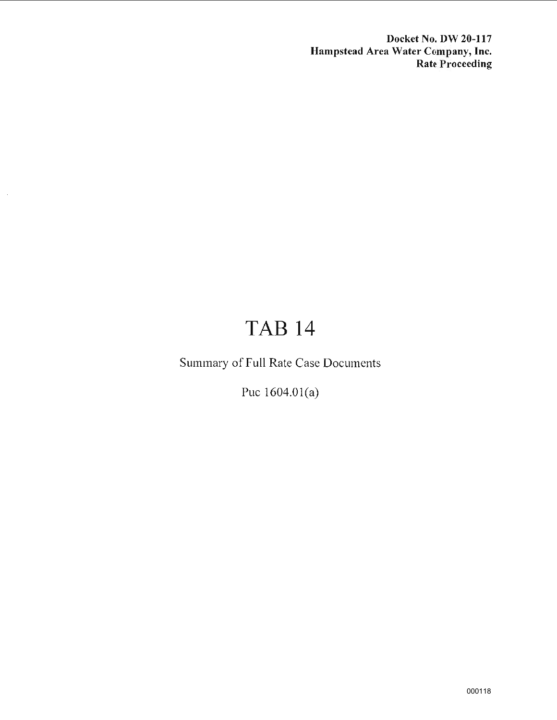**Docket No. DW 20-117 Hampstead Area Water Company, Inc. Rate Proceeding** 

## TAB14

Summary of Full Rate Case Documents

Puc 1604.0l(a)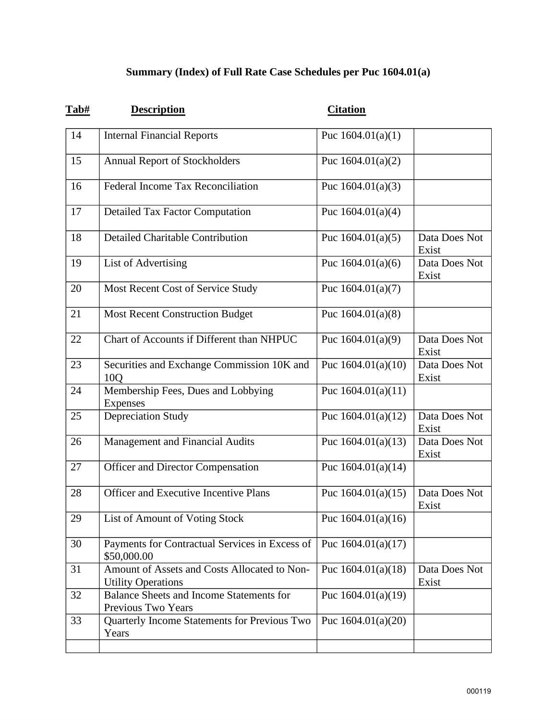## **Summary (Index) of Full Rate Case Schedules per Puc 1604.01(a)**

| Tab# | <b>Description</b>                                                        | <b>Citation</b>      |                        |
|------|---------------------------------------------------------------------------|----------------------|------------------------|
| 14   | <b>Internal Financial Reports</b>                                         | Puc $1604.01(a)(1)$  |                        |
| 15   | <b>Annual Report of Stockholders</b>                                      | Puc $1604.01(a)(2)$  |                        |
| 16   | <b>Federal Income Tax Reconciliation</b>                                  | Puc $1604.01(a)(3)$  |                        |
| 17   | <b>Detailed Tax Factor Computation</b>                                    | Puc $1604.01(a)(4)$  |                        |
| 18   | <b>Detailed Charitable Contribution</b>                                   | Puc $1604.01(a)(5)$  | Data Does Not<br>Exist |
| 19   | <b>List of Advertising</b>                                                | Puc $1604.01(a)(6)$  | Data Does Not<br>Exist |
| 20   | Most Recent Cost of Service Study                                         | Puc $1604.01(a)(7)$  |                        |
| 21   | <b>Most Recent Construction Budget</b>                                    | Puc $1604.01(a)(8)$  |                        |
| 22   | Chart of Accounts if Different than NHPUC                                 | Puc $1604.01(a)(9)$  | Data Does Not<br>Exist |
| 23   | Securities and Exchange Commission 10K and<br>10Q                         | Puc $1604.01(a)(10)$ | Data Does Not<br>Exist |
| 24   | Membership Fees, Dues and Lobbying<br><b>Expenses</b>                     | Puc $1604.01(a)(11)$ |                        |
| 25   | <b>Depreciation Study</b>                                                 | Puc $1604.01(a)(12)$ | Data Does Not<br>Exist |
| 26   | Management and Financial Audits                                           | Puc $1604.01(a)(13)$ | Data Does Not<br>Exist |
| 27   | <b>Officer and Director Compensation</b>                                  | Puc $1604.01(a)(14)$ |                        |
| 28   | <b>Officer and Executive Incentive Plans</b>                              | Puc $1604.01(a)(15)$ | Data Does Not<br>Exist |
| 29   | List of Amount of Voting Stock                                            | Puc $1604.01(a)(16)$ |                        |
| 30   | Payments for Contractual Services in Excess of<br>\$50,000.00             | Puc $1604.01(a)(17)$ |                        |
| 31   | Amount of Assets and Costs Allocated to Non-<br><b>Utility Operations</b> | Puc $1604.01(a)(18)$ | Data Does Not<br>Exist |
| 32   | <b>Balance Sheets and Income Statements for</b><br>Previous Two Years     | Puc $1604.01(a)(19)$ |                        |
| 33   | Quarterly Income Statements for Previous Two<br>Years                     | Puc $1604.01(a)(20)$ |                        |
|      |                                                                           |                      |                        |